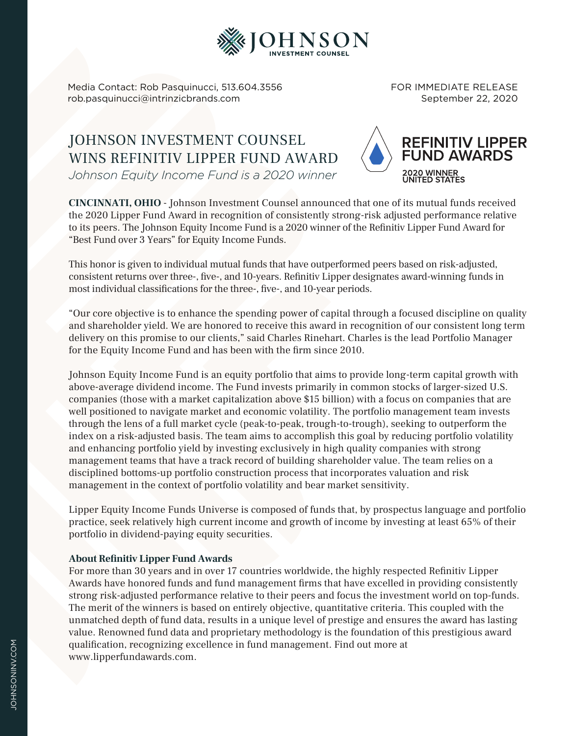

Media Contact: Rob Pasquinucci, 513.604.3556 rob.pasquinucci@intrinzicbrands.com

FOR IMMEDIATE RELEASE September 22, 2020

## JOHNSON INVESTMENT COUNSEL WINS REFINITIV LIPPER FUND AWARD *Johnson Equity Income Fund is a 2020 winner*



**CINCINNATI, OHIO** - Johnson Investment Counsel announced that one of its mutual funds received the 2020 Lipper Fund Award in recognition of consistently strong-risk adjusted performance relative to its peers. The Johnson Equity Income Fund is a 2020 winner of the Refinitiv Lipper Fund Award for "Best Fund over 3 Years" for Equity Income Funds.

This honor is given to individual mutual funds that have outperformed peers based on risk-adjusted, consistent returns over three-, five-, and 10-years. Refinitiv Lipper designates award-winning funds in most individual classifications for the three-, five-, and 10-year periods.

"Our core objective is to enhance the spending power of capital through a focused discipline on quality and shareholder yield. We are honored to receive this award in recognition of our consistent long term delivery on this promise to our clients," said Charles Rinehart. Charles is the lead Portfolio Manager for the Equity Income Fund and has been with the firm since 2010.

Johnson Equity Income Fund is an equity portfolio that aims to provide long-term capital growth with above-average dividend income. The Fund invests primarily in common stocks of larger-sized U.S. companies (those with a market capitalization above \$15 billion) with a focus on companies that are well positioned to navigate market and economic volatility. The portfolio management team invests through the lens of a full market cycle (peak-to-peak, trough-to-trough), seeking to outperform the index on a risk-adjusted basis. The team aims to accomplish this goal by reducing portfolio volatility and enhancing portfolio yield by investing exclusively in high quality companies with strong management teams that have a track record of building shareholder value. The team relies on a disciplined bottoms-up portfolio construction process that incorporates valuation and risk management in the context of portfolio volatility and bear market sensitivity.

Lipper Equity Income Funds Universe is composed of funds that, by prospectus language and portfolio practice, seek relatively high current income and growth of income by investing at least 65% of their portfolio in dividend-paying equity securities.

## **About Refinitiv Lipper Fund Awards**

For more than 30 years and in over 17 countries worldwide, the highly respected Refinitiv Lipper Awards have honored funds and fund management firms that have excelled in providing consistently strong risk-adjusted performance relative to their peers and focus the investment world on top-funds. The merit of the winners is based on entirely objective, quantitative criteria. This coupled with the unmatched depth of fund data, results in a unique level of prestige and ensures the award has lasting value. Renowned fund data and proprietary methodology is the foundation of this prestigious award qualification, recognizing excellence in fund management. Find out more at www.lipperfundawards.com.